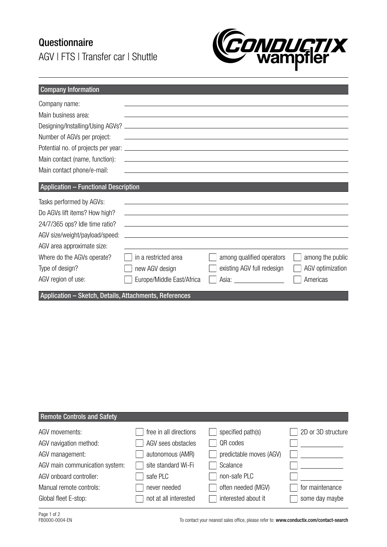## Questionnaire AGV | FTS | Transfer car | Shuttle



| <b>Company Information</b>                             |                                                                                                                        |                                     |                  |
|--------------------------------------------------------|------------------------------------------------------------------------------------------------------------------------|-------------------------------------|------------------|
| Company name:                                          |                                                                                                                        |                                     |                  |
| Main business area:                                    |                                                                                                                        |                                     |                  |
|                                                        |                                                                                                                        |                                     |                  |
| Number of AGVs per project:                            | <u> 1989 - Johann Harry Harry Harry Harry Harry Harry Harry Harry Harry Harry Harry Harry Harry Harry Harry Harry</u>  |                                     |                  |
|                                                        |                                                                                                                        |                                     |                  |
| Main contact (name, function):                         | <u> 1989 - Johann Harry Harry Harry Harry Harry Harry Harry Harry Harry Harry Harry Harry Harry Harry Harry Harry</u>  |                                     |                  |
| Main contact phone/e-mail:                             |                                                                                                                        |                                     |                  |
|                                                        |                                                                                                                        |                                     |                  |
| <b>Application - Functional Description</b>            |                                                                                                                        |                                     |                  |
| Tasks performed by AGVs:                               | <u> 1989 - Johann Stein, mars an deus Amerikaansk kommunister (* 1958)</u>                                             |                                     |                  |
| Do AGVs lift items? How high?                          | <u> 1980 - Johann Stoff, amerikansk politiker (d. 1980)</u>                                                            |                                     |                  |
| 24/7/365 ops? Idle time ratio?                         | <u> 1989 - Andrea Stadt Britain, amerikansk politik (</u>                                                              |                                     |                  |
| AGV size/weight/payload/speed:                         | <u> 1989 - Johann Stoff, deutscher Stoffen und der Stoffen und der Stoffen und der Stoffen und der Stoffen und der</u> |                                     |                  |
| AGV area approximate size:                             |                                                                                                                        |                                     |                  |
| Where do the AGVs operate?                             | in a restricted area                                                                                                   | among qualified operators           | among the public |
| Type of design?                                        | new AGV design                                                                                                         | existing AGV full redesign          | AGV optimization |
| AGV region of use:                                     | Europe/Middle East/Africa                                                                                              | Asia: <u>______________________</u> | Americas         |
| Application - Sketch, Details, Attachments, References |                                                                                                                        |                                     |                  |

| <b>Remote Controls and Safety</b> |                        |                          |                    |
|-----------------------------------|------------------------|--------------------------|--------------------|
| AGV movements:                    | free in all directions | $\Box$ specified path(s) | 2D or 3D structure |
| AGV navigation method:            | AGV sees obstacles     | QR codes                 |                    |
| AGV management:                   | autonomous (AMR)       | predictable moves (AGV)  |                    |
| AGV main communication system:    | site standard Wi-Fi    | Scalance                 |                    |
| AGV onboard controller:           | safe PLC               | non-safe PLC             |                    |
| Manual remote controls:           | never needed           | often needed (MGV)       | for maintenance    |
| Global fleet E-stop:              | not at all interested  | interested about it      | some day maybe     |